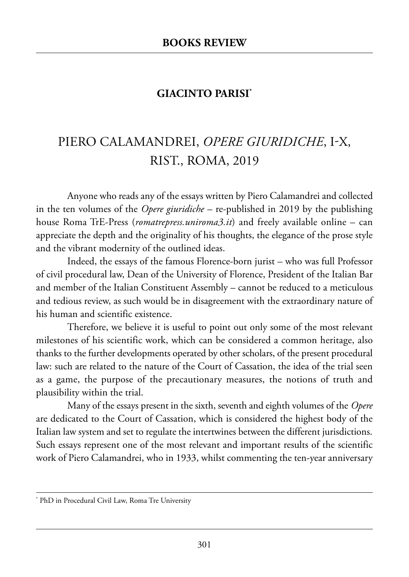## **GIACINTO PARISI\***

## piero Calamandrei, *OPERE GIURIDICHE*, i-X, rist., roma, 2019

Anyone who reads any of the essays written by Piero Calamandrei and collected in the ten volumes of the *Opere giuridiche* – re-published in 2019 by the publishing house Roma TrE-Press (*romatrepress.uniroma3.it*) and freely available online – can appreciate the depth and the originality of his thoughts, the elegance of the prose style and the vibrant modernity of the outlined ideas.

Indeed, the essays of the famous Florence-born jurist – who was full Professor of civil procedural law, Dean of the University of Florence, President of the Italian Bar and member of the Italian Constituent Assembly – cannot be reduced to a meticulous and tedious review, as such would be in disagreement with the extraordinary nature of his human and scientific existence.

Therefore, we believe it is useful to point out only some of the most relevant milestones of his scientific work, which can be considered a common heritage, also thanks to the further developments operated by other scholars, of the present procedural law: such are related to the nature of the Court of Cassation, the idea of the trial seen as a game, the purpose of the precautionary measures, the notions of truth and plausibility within the trial.

many of the essays present in the sixth, seventh and eighth volumes of the *Opere* are dedicated to the Court of Cassation, which is considered the highest body of the italian law system and set to regulate the intertwines between the different jurisdictions. Such essays represent one of the most relevant and important results of the scientific work of Piero Calamandrei, who in 1933, whilst commenting the ten-year anniversary

<sup>\*</sup> PhD in Procedural Civil Law, Roma Tre University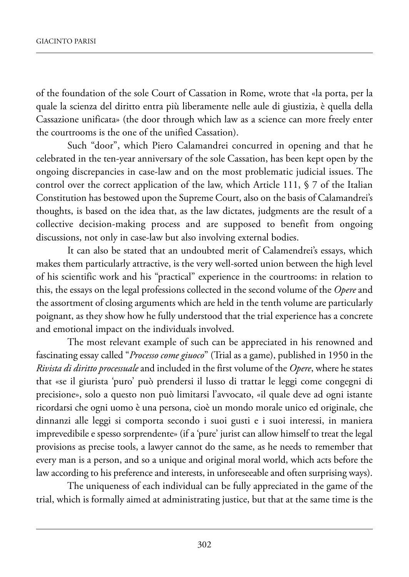of the foundation of the sole Court of Cassation in Rome, wrote that «la porta, per la quale la scienza del diritto entra più liberamente nelle aule di giustizia, è quella della Cassazione unificata» (the door through which law as a science can more freely enter the courtrooms is the one of the unified Cassation).

such "door", which piero Calamandrei concurred in opening and that he celebrated in the ten-year anniversary of the sole Cassation, has been kept open by the ongoing discrepancies in case-law and on the most problematic judicial issues. the control over the correct application of the law, which Article 111,  $\S$  7 of the Italian Constitution has bestowed upon the Supreme Court, also on the basis of Calamandrei's thoughts, is based on the idea that, as the law dictates, judgments are the result of a collective decision-making process and are supposed to benefit from ongoing discussions, not only in case-law but also involving external bodies.

It can also be stated that an undoubted merit of Calamendrei's essays, which makes them particularly attractive, is the very well-sorted union between the high level of his scientific work and his "practical" experience in the courtrooms: in relation to this, the essays on the legal professions collected in the second volume of the *Opere* and the assortment of closing arguments which are held in the tenth volume are particularly poignant, as they show how he fully understood that the trial experience has a concrete and emotional impact on the individuals involved.

The most relevant example of such can be appreciated in his renowned and fascinating essay called "*Processo come giuoco*" (Trial as a game), published in 1950 in the *Rivista di diritto processuale* and included in the first volume of the *Opere*, where he states that «se il giurista 'puro' può prendersi il lusso di trattar le leggi come congegni di precisione», solo a questo non può limitarsi l'avvocato, «il quale deve ad ogni istante ricordarsi che ogni uomo è una persona, cioè un mondo morale unico ed originale, che dinnanzi alle leggi si comporta secondo i suoi gusti e i suoi interessi, in maniera imprevedibile e spesso sorprendente» (if a 'pure' jurist can allow himself to treat the legal provisions as precise tools, a lawyer cannot do the same, as he needs to remember that every man is a person, and so a unique and original moral world, which acts before the law according to his preference and interests, in unforeseeable and often surprising ways).

The uniqueness of each individual can be fully appreciated in the game of the trial, which is formally aimed at administrating justice, but that at the same time is the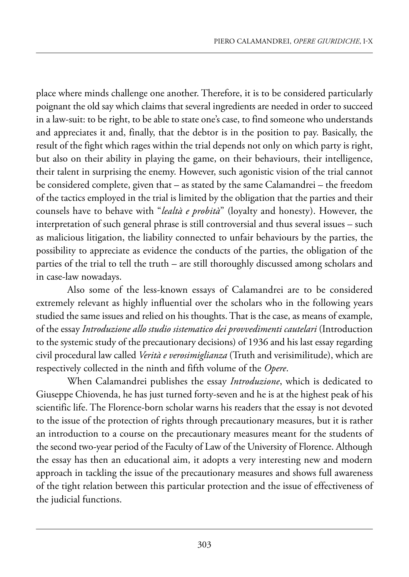place where minds challenge one another. therefore, it is to be considered particularly poignant the old say which claims that several ingredients are needed in order to succeed in a law-suit: to be right, to be able to state one's case, to find someone who understands and appreciates it and, finally, that the debtor is in the position to pay. Basically, the result of the fight which rages within the trial depends not only on which party is right, but also on their ability in playing the game, on their behaviours, their intelligence, their talent in surprising the enemy. However, such agonistic vision of the trial cannot be considered complete, given that – as stated by the same Calamandrei – the freedom of the tactics employed in the trial is limited by the obligation that the parties and their counsels have to behave with "*lealtà e probità*" (loyalty and honesty). However, the interpretation of such general phrase is still controversial and thus several issues – such as malicious litigation, the liability connected to unfair behaviours by the parties, the possibility to appreciate as evidence the conducts of the parties, the obligation of the parties of the trial to tell the truth – are still thoroughly discussed among scholars and in case-law nowadays.

Also some of the less-known essays of Calamandrei are to be considered extremely relevant as highly influential over the scholars who in the following years studied the same issues and relied on his thoughts. That is the case, as means of example, of the essay *Introduzione allo studio sistematico dei provvedimenti cautelari* (introduction to the systemic study of the precautionary decisions) of 1936 and his last essay regarding civil procedural law called *Verità e verosimiglianza* (truth and verisimilitude), which are respectively collected in the ninth and fifth volume of the *Opere*.

when Calamandrei publishes the essay *Introduzione*, which is dedicated to Giuseppe Chiovenda, he has just turned forty-seven and he is at the highest peak of his scientific life. The Florence-born scholar warns his readers that the essay is not devoted to the issue of the protection of rights through precautionary measures, but it is rather an introduction to a course on the precautionary measures meant for the students of the second two-year period of the Faculty of Law of the University of Florence. Although the essay has then an educational aim, it adopts a very interesting new and modern approach in tackling the issue of the precautionary measures and shows full awareness of the tight relation between this particular protection and the issue of effectiveness of the judicial functions.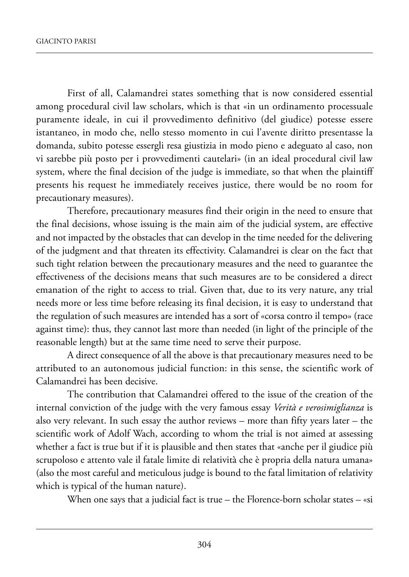first of all, Calamandrei states something that is now considered essential among procedural civil law scholars, which is that «in un ordinamento processuale puramente ideale, in cui il provvedimento definitivo (del giudice) potesse essere istantaneo, in modo che, nello stesso momento in cui l'avente diritto presentasse la domanda, subito potesse essergli resa giustizia in modo pieno e adeguato al caso, non vi sarebbe più posto per i provvedimenti cautelari» (in an ideal procedural civil law system, where the final decision of the judge is immediate, so that when the plaintiff presents his request he immediately receives justice, there would be no room for precautionary measures).

Therefore, precautionary measures find their origin in the need to ensure that the final decisions, whose issuing is the main aim of the judicial system, are effective and not impacted by the obstacles that can develop in the time needed for the delivering of the judgment and that threaten its effectivity. Calamandrei is clear on the fact that such tight relation between the precautionary measures and the need to guarantee the effectiveness of the decisions means that such measures are to be considered a direct emanation of the right to access to trial. Given that, due to its very nature, any trial needs more or less time before releasing its final decision, it is easy to understand that the regulation of such measures are intended has a sort of «corsa contro il tempo» (race against time): thus, they cannot last more than needed (in light of the principle of the reasonable length) but at the same time need to serve their purpose.

a direct consequence of all the above is that precautionary measures need to be attributed to an autonomous judicial function: in this sense, the scientific work of Calamandrei has been decisive.

The contribution that Calamandrei offered to the issue of the creation of the internal conviction of the judge with the very famous essay *Verità e verosimiglianza* is also very relevant. In such essay the author reviews – more than fifty years later – the scientific work of Adolf Wach, according to whom the trial is not aimed at assessing whether a fact is true but if it is plausible and then states that «anche per il giudice più scrupoloso e attento vale il fatale limite di relatività che è propria della natura umana» (also the most careful and meticulous judge is bound to the fatal limitation of relativity which is typical of the human nature).

When one says that a judicial fact is true – the Florence-born scholar states – «si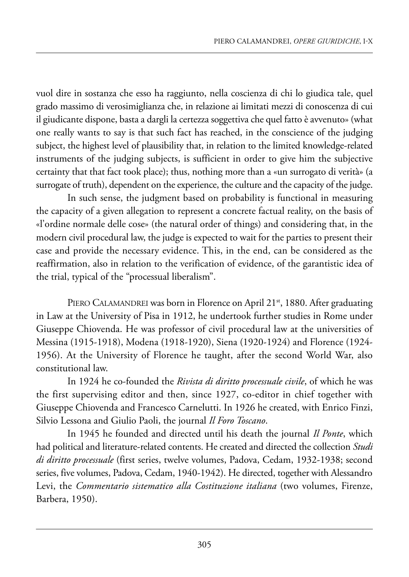vuol dire in sostanza che esso ha raggiunto, nella coscienza di chi lo giudica tale, quel grado massimo di verosimiglianza che, in relazione ai limitati mezzi di conoscenza di cui il giudicante dispone, basta a dargli la certezza soggettiva che quel fatto è avvenuto» (what one really wants to say is that such fact has reached, in the conscience of the judging subject, the highest level of plausibility that, in relation to the limited knowledge-related instruments of the judging subjects, is sufficient in order to give him the subjective certainty that that fact took place); thus, nothing more than a «un surrogato di verità» (a surrogate of truth), dependent on the experience, the culture and the capacity of the judge.

In such sense, the judgment based on probability is functional in measuring the capacity of a given allegation to represent a concrete factual reality, on the basis of «l'ordine normale delle cose» (the natural order of things) and considering that, in the modern civil procedural law, the judge is expected to wait for the parties to present their case and provide the necessary evidence. this, in the end, can be considered as the reaffirmation, also in relation to the verification of evidence, of the garantistic idea of the trial, typical of the "processual liberalism".

PIERO CALAMANDREI was born in Florence on April 21<sup>st</sup>, 1880. After graduating in Law at the University of Pisa in 1912, he undertook further studies in Rome under Giuseppe Chiovenda. he was professor of civil procedural law at the universities of messina (1915-1918), modena (1918-1920), siena (1920-1924) and florence (1924- 1956). At the University of Florence he taught, after the second World War, also constitutional law.

in 1924 he co-founded the *Rivista di diritto processuale civile*, of which he was the first supervising editor and then, since 1927, co-editor in chief together with Giuseppe Chiovenda and Francesco Carnelutti. In 1926 he created, with Enrico Finzi, silvio lessona and Giulio paoli, the journal *Il Foro Toscano*.

In 1945 he founded and directed until his death the journal *Il Ponte*, which had political and literature-related contents. he created and directed the collection *Studi di diritto processuale* (first series, twelve volumes, padova, Cedam, 1932-1938; second series, five volumes, Padova, Cedam, 1940-1942). He directed, together with Alessandro levi, the *Commentario sistematico alla Costituzione italiana* (two volumes, firenze, Barbera, 1950).